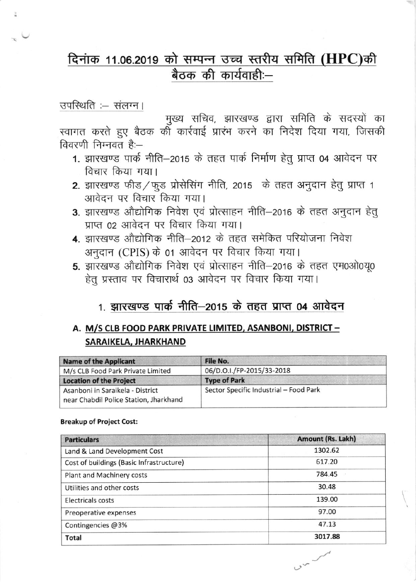# दिनांक 11.06.2019 को सम्पन्न उच्च स्तरीय समिति (HPC)की बैठक की कार्यवाही:-

## उपस्थिति :- संलग्न।

मुख्य सचिव, झारखण्ड द्वारा समिति के सदस्यों का स्वागत करते हुए बैठक की कार्रवाई प्रारंभ करने का निदेश दिया गया, जिसकी विवरणी निम्नवत है:-

- 1. झारखण्ड पार्क नीति-2015 के तहत पार्क निर्माण हेतु प्राप्त 04 आवेदन पर विचार किया गया।
- 2. झारखण्ड फीड/फुड प्रोसेसिंग नीति, 2015 के तहत अनुदान हेतु प्राप्त 1 आवेदन पर विचार किया गया।
- 3. झारखण्ड औद्योगिक निवेश एवं प्रोत्साहन नीति-2016 के तहत अनुदान हेतु प्राप्त 02 आवेदन पर विचार किया गया।
- 4. झारखण्ड औद्योगिक नीति—2012 के तहत समेकित परियोजना निवेश अनुदान (CPIS) के 01 आवेदन पर विचार किया गया।
- 5. झारखण्ड औद्योगिक निवेश एवं प्रोत्साहन नीति-2016 के तहत एम0ओ0यू0 हेतु प्रस्ताव पर विचारार्थ 03 आवेदन पर विचार किया गया।

## 1. झारखण्ड पार्क नीति—2015 के तहत प्राप्त 04 आवेदन

## A. M/S CLB FOOD PARK PRIVATE LIMITED, ASANBONI, DISTRICT -SARAIKELA, JHARKHAND

| <b>Name of the Applicant</b>                                               | File No.                               |
|----------------------------------------------------------------------------|----------------------------------------|
| M/s CLB Food Park Private Limited                                          | 06/D.O.I./FP-2015/33-2018              |
| <b>Location of the Project</b>                                             | <b>Type of Park</b>                    |
| Asanboni in Saraikela - District<br>near Chabdil Police Station, Jharkhand | Sector Specific Industrial - Food Park |

#### **Breakup of Project Cost:**

| <b>Particulars</b>                       | Amount (Rs. Lakh) |
|------------------------------------------|-------------------|
| Land & Land Development Cost             | 1302.62           |
| Cost of buildings (Basic Infrastructure) | 617.20            |
| Plant and Machinery costs                | 784.45            |
| Utilities and other costs                | 30.48             |
| Electricals costs                        | 139.00            |
| Preoperative expenses                    | 97.00             |
| Contingencies @3%                        | 47.13             |
| Total                                    | 3017.88           |

 $v^2$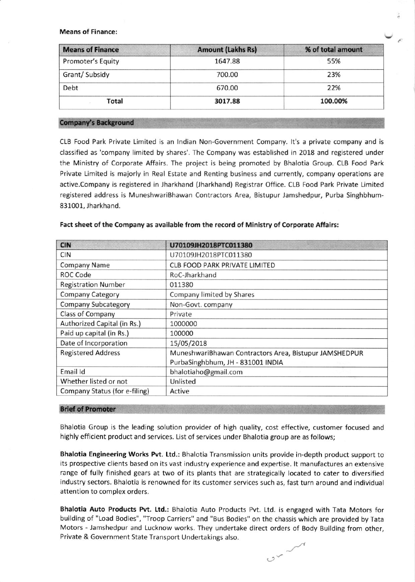**Means of Finance:** 

| <b>Means of Finance</b> | <b>Amount (Lakhs Rs)</b> | % of total amount |  |
|-------------------------|--------------------------|-------------------|--|
| Promoter's Equity       | 1647.88                  | 55%               |  |
| Grant/ Subsidy          | 700.00                   | 23%               |  |
| Debt                    | 670.00                   | 22%               |  |
| Total                   | 3017.88                  | 100.00%           |  |

#### **Company's Background**

CLB Food Park Private Limited is an lndian Non Government Company- lt's a private company and is classified as'company limited by shares'. The Company was established in 2018 and registered under the Ministry of Corporate Affairs. The project is being promoted by Bhalotia Group. CLB Food Park Private Limited is majorly in Real Estate and Renting business and currently, company operations are active.Company is registered in Jharkhand (Jharkhand) Registrar Office. CLB Food Park Private Limited registered address is MuneshwariBhawan Contractors Area, Bistupur Jamshedpur, Purba Singhbhum-831001, Jharkhand.

| <b>CIN</b>                    | U70109JH2018PTC011380                                  |
|-------------------------------|--------------------------------------------------------|
| <b>CIN</b>                    | U70109JH2018PTC011380                                  |
| <b>Company Name</b>           | <b>CLB FOOD PARK PRIVATE LIMITED</b>                   |
| ROC Code                      | RoC-Jharkhand                                          |
| <b>Registration Number</b>    | 011380                                                 |
| <b>Company Category</b>       | Company limited by Shares                              |
| <b>Company Subcategory</b>    | Non-Govt. company                                      |
| Class of Company              | Private                                                |
| Authorized Capital (in Rs.)   | 1000000                                                |
| Paid up capital (in Rs.)      | 100000                                                 |
| Date of Incorporation         | 15/05/2018                                             |
| <b>Registered Address</b>     | MuneshwariBhawan Contractors Area, Bistupur JAMSHEDPUR |
|                               | PurbaSinghbhum, JH - 831001 INDIA                      |
| Email Id                      | bhalotiaho@gmail.com                                   |
| Whether listed or not         | Unlisted                                               |
| Company Status (for e-filing) | Active                                                 |

#### Fact sheet of the Company as available from the record of Ministry of Corporate Affairs:

#### **Brief of Promoter**

Bhalotia Group is the leading solution provider of high quality, cost effective, customer focused and highly efficient product and services. List of services under Bhalotia group are as follows;

Bhalotia Engineering Works Pvt. Ltd.: Bhalotia Transmission units provide in-depth product support to its prospective clients based on its vast industry experience and expertise. lt manufactures an extensive range of fully finished gears at two of its plants that are strategically located to cater to diversified industry sectors. Bhalotia is renowned for its customer services such as, fast turn around and individual attention to complex orders,

Bhalotia Auto Products Pvt. Ltd.: Bhalotia Auto Products Pvt. Ltd. is engaged with Tata Motors for building of "Load Bodies", "Troop Carriers" and "Bus Bodies" on the chassis which are provided by Tata Motors - Jamshedpur and Lucknow works. They undertake direct orders of Body Building from other, Private & Government State Transport Undertakings also.

 $v^2$